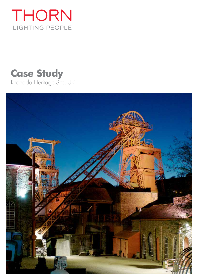

# **Case Study** Rhondda Heritage Site, UK

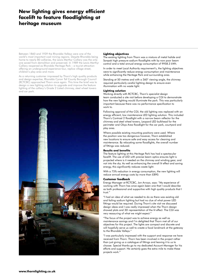# **New lighting gives energy efficient facelift to feature floodlighting at heritage museum**

Between 1860 and 1939 the Rhondda Valleys were one of the world's most important coal mining regions. Despite Rhondda being home to nearly 80 collieries, the Lewis Merthyr Colliery was the only one saved from demolition and preserved. In 1989 the Lewis Merthyr Colliery reopened as Rhondda Heritage Park – a tourist attraction offering an underground experience tour, replica village street, children's play area and more.

As a returning customer impressed by Thorn's high quality products and design expertise, Rhondda Cynon Taf County Borough Council (RCTCBC) approached Thorn once again. This time the brief was to design a new lighting solution to upgrade and improve the feature lighting of the colliery's Grade 2 Listed chimney, steel wheel towers and car park.



#### **Lighting objectives**

The existing lighting from Thorn was a mixture of metal halide and Sonpak high pressure sodium floodlights with by now poor beam control and a total annual energy consumption of 9958.3 kWh.

In order to meet Local Authority requirement's, the lighting objectives were to significantly reduce energy consumption and maintenance while enhancing the Heritage Park and surrounding area.

Standing at 50 metres and with a 360° viewing angle, the chimney required particularly careful lighting design to ensure even illumination with no waste light.

#### **Lighting solution**

Working directly with RCTCBC, Thorn's specialist design team conducted a site visit before developing a CGI to demonstrate how the new lighting would illuminate the park. This was particularly important because there was no performance specification to work to.

Following approval of the CGI, the old lighting was replaced with an energy efficient, low maintenance LED lighting solution. This included Thorn's Contrast 2 floodlight with a narrow beam reflector for the chimney and steel wheel towers, Leopard LED bulkhead for the perimeter and Olsys Area floodlight for the car park, courtyard and play area.

Where possible existing mounting positions were used. Where the position was too dangerous however, Thorn established new locations to ensure safe and easy access for cleaning and maintenance. By relocating some floodlights, the overall number of fittings was reduced.

#### **Results and benefits**

The feature lighting at this Heritage Park has had a spectacular facelift. The use of LED with precise beam optics ensures light is projected where is it needed on the chimney and winding gear, and not into the sky. As well as enhancing the overall lit effect and saving energy, this significantly reduces waste light.

With a 75% reduction in energy consumption, the new lighting will reduce annual energy costs by more than £890.

#### **Customer feedback**

Energy Manager at RCTCBC, Jon Arroyo, says: "My experience of working with Thorn has once again been one that I would describe as both professional and supportive with high quality products that I trust."

"I had an idea of what we needed to do as there was existing old and failing sodium lighting but had no clue of what power LED fittings would be required. During Thorn's site visit we discussed design ideas and I was really impressed when the Thorn design showed plots and 3D representation of the lit effect. The CGI was very reassuring of what we might expect."

"The focus of the project was to achieve energy as well as maintenance savings and I'm delighted that Thorn met all of our objectives for this project. The lights are compact and discrete and will hopefully serve us well to create a focal landmark at the gateway to the Rhondda Valleys."

"I was particularly impressed with the support and response we have received from Thorn. Thorn has been involved in the project rather than just giving us a catalogue of fittings and leaving it to us to choose. Special thanks go to my dedicated Account Manager for his efforts and support. He certainly goes the extra mile to make these projects work."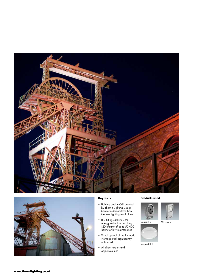



# **Key facts**

- Lighting design CGI created by Thorn's Lighting Design Centre to demonstrate how the new lighting would look
- LED fittings deliver 75% energy reduction and long LED lifetime of up to 50 000 hours for low maintenance
- Visual appeal of the Rhondda Heritage Park significantly enhanced
- All client targets and objectives met

## **Products used**





Contrast 2 Olsys Area



Leopard LED